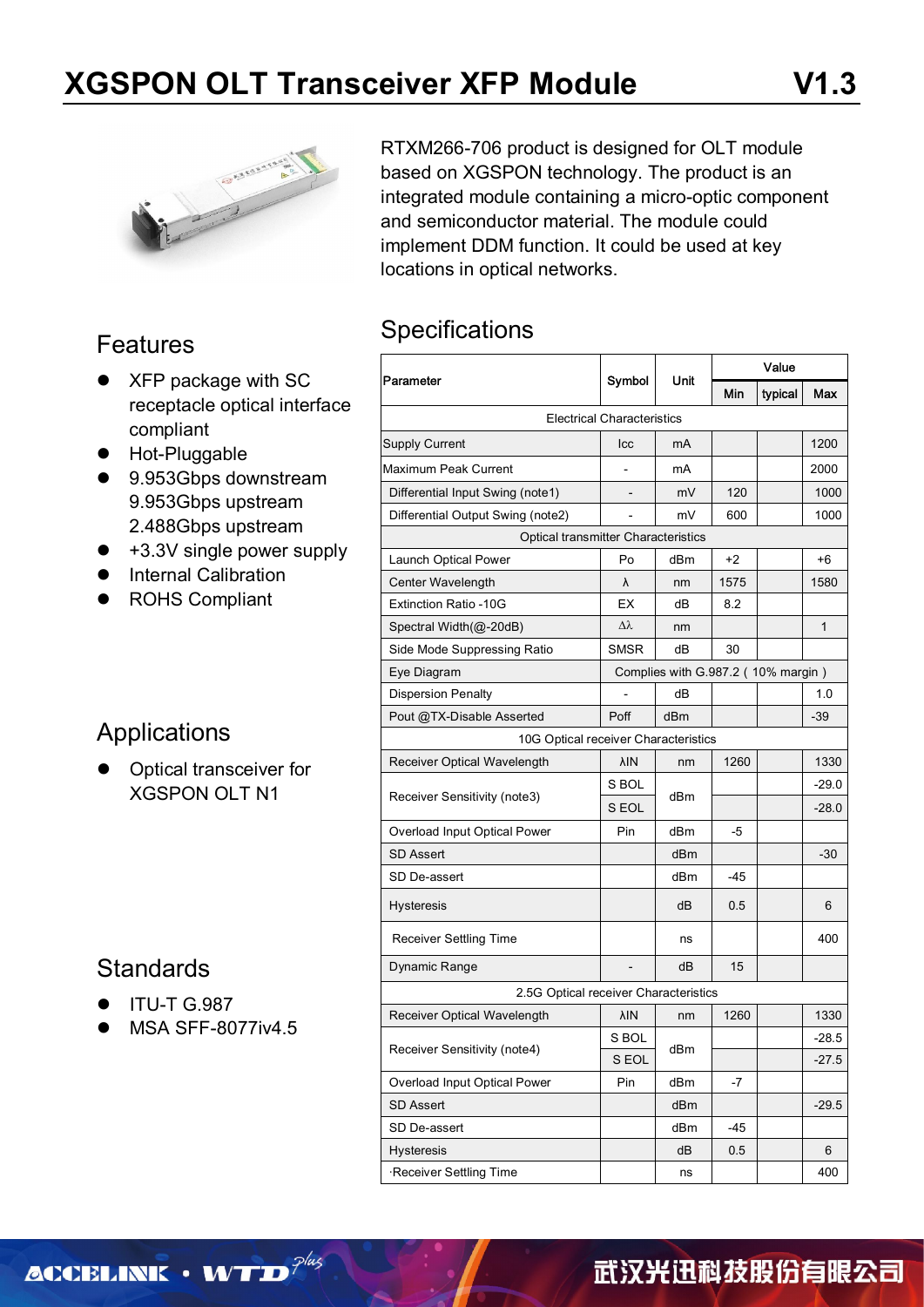

#### Features

- XFP package with SC receptacle optical interface compliant
- **•** Hot-Pluggable
- 9.953Gbps downstream 9.953Gbps upstream 2.488Gbps upstream
- +3.3V single power supply
- **•** Internal Calibration
- ROHS Compliant

### Applications

 Optical transceiver for XGSPON OLT N1

### **Standards**

- **ITU-T G.987**
- MSA SFF-8077iv4.5

RTXM266-706 product is designed for OLT module based on XGSPON technology. The product is an integrated module containing a micro-optic component and semiconductor material. The module could implement DDM function. It could be used at key locations in optical networks.

### **Specifications**

|                                            |                                   |                                    | Value |         |              |  |  |
|--------------------------------------------|-----------------------------------|------------------------------------|-------|---------|--------------|--|--|
| Parameter                                  | Symbol                            | Unit                               | Min   | typical | Max          |  |  |
|                                            | <b>Electrical Characteristics</b> |                                    |       |         |              |  |  |
| <b>Supply Current</b>                      | Icc                               | mA                                 |       |         | 1200         |  |  |
| Maximum Peak Current                       |                                   | mA                                 |       |         | 2000         |  |  |
| Differential Input Swing (note1)           |                                   | mV                                 | 120   |         | 1000         |  |  |
| Differential Output Swing (note2)          |                                   | mV                                 | 600   |         | 1000         |  |  |
| <b>Optical transmitter Characteristics</b> |                                   |                                    |       |         |              |  |  |
| Launch Optical Power                       | Po                                | dBm                                | $+2$  |         | +6           |  |  |
| Center Wavelength                          | λ                                 | nm                                 | 1575  |         | 1580         |  |  |
| <b>Extinction Ratio -10G</b>               | EX                                | dВ                                 | 8.2   |         |              |  |  |
| Spectral Width(@-20dB)                     | $\Delta \lambda$                  | nm                                 |       |         | $\mathbf{1}$ |  |  |
| Side Mode Suppressing Ratio                | <b>SMSR</b>                       | dB                                 | 30    |         |              |  |  |
| Eye Diagram                                |                                   | Complies with G.987.2 (10% margin) |       |         |              |  |  |
| <b>Dispersion Penalty</b>                  |                                   | dВ                                 |       |         | 1.0          |  |  |
| Pout @TX-Disable Asserted                  | Poff                              | dBm                                |       |         | -39          |  |  |
| 10G Optical receiver Characteristics       |                                   |                                    |       |         |              |  |  |
| Receiver Optical Wavelength                | λIΝ                               | nm                                 | 1260  |         | 1330         |  |  |
|                                            | S BOL                             |                                    |       |         | $-29.0$      |  |  |
| Receiver Sensitivity (note3)               | S EOL                             | dBm                                |       |         | $-28.0$      |  |  |
| Overload Input Optical Power               | Pin                               | dBm                                | -5    |         |              |  |  |
| <b>SD Assert</b>                           |                                   | dBm                                |       |         | $-30$        |  |  |
| SD De-assert                               |                                   | dBm                                | $-45$ |         |              |  |  |
| <b>Hysteresis</b>                          |                                   | dB                                 | 0.5   |         | 6            |  |  |
| <b>Receiver Settling Time</b>              |                                   | ns                                 |       |         | 400          |  |  |
| Dynamic Range                              |                                   | dВ                                 | 15    |         |              |  |  |
| 2.5G Optical receiver Characteristics      |                                   |                                    |       |         |              |  |  |
| Receiver Optical Wavelength                | λIΝ                               | nm                                 | 1260  |         | 1330         |  |  |
| Receiver Sensitivity (note4)               | S BOL                             | dBm                                |       |         | $-28.5$      |  |  |
|                                            | S EOL                             |                                    |       |         | $-27.5$      |  |  |
| Overload Input Optical Power               | Pin                               | dBm                                | -7    |         |              |  |  |
| <b>SD Assert</b>                           |                                   | dBm                                |       |         | $-29.5$      |  |  |
| SD De-assert                               |                                   | dBm                                | -45   |         |              |  |  |
| <b>Hysteresis</b>                          |                                   | dB                                 | 0.5   |         | 6            |  |  |
| Receiver Settling Time                     |                                   | ns                                 |       |         | 400          |  |  |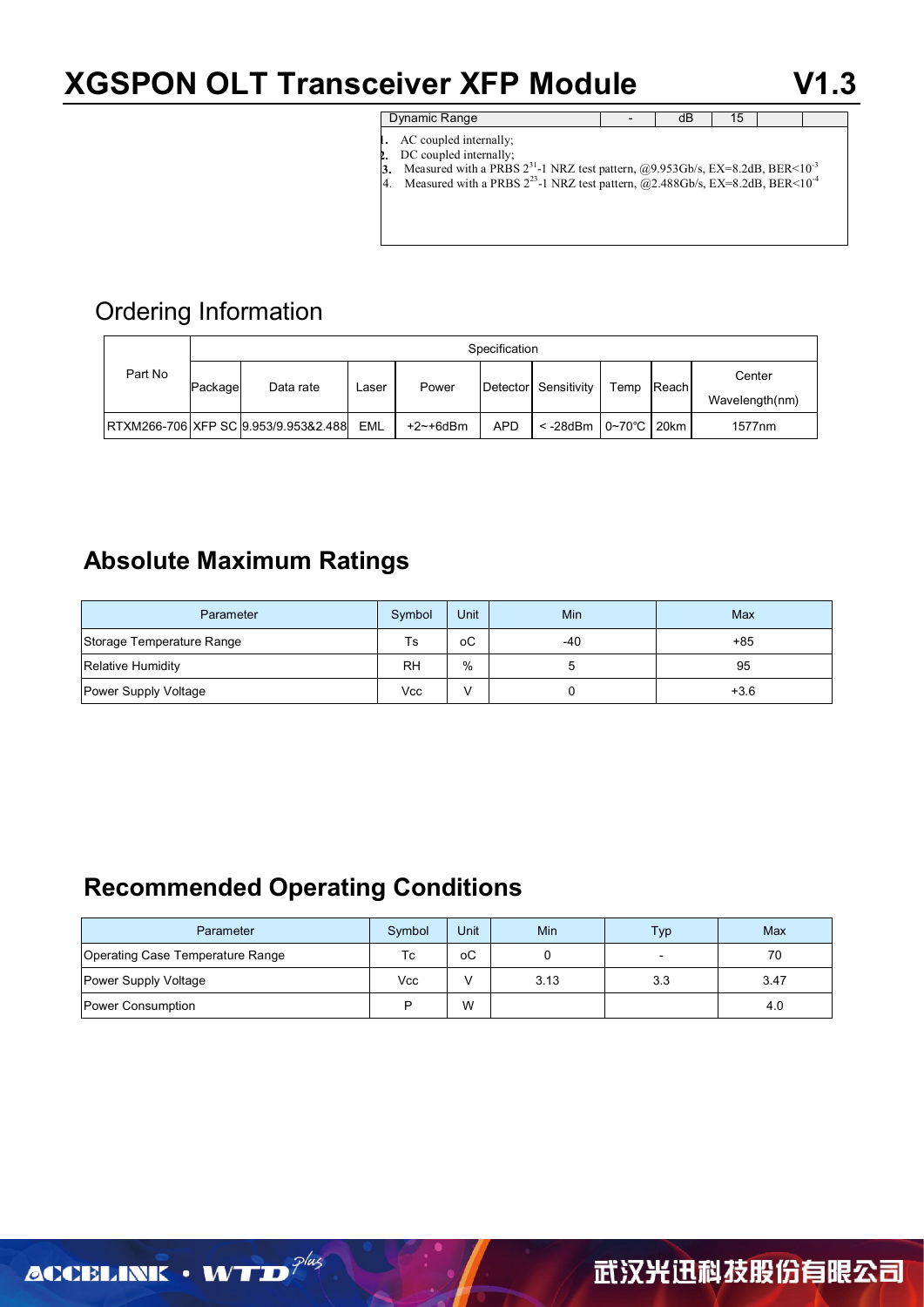## **XGSPON OLT Transceiver XFP Module V1.3**

| Dynamic Range |  |  |
|---------------|--|--|
|               |  |  |

- AC coupled internally;
- DC coupled internally;
- **3.** Measured with a PRBS  $2^{31}$ -1 NRZ test pattern,  $@9.953Gb/s$ , EX=8.2dB, BER<10<sup>3</sup>
	- 4. Measured with a PRBS  $2^{23}$ -1 NRZ test pattern,  $\overline{Q}$ 2.488Gb/s, EX=8.2dB, BER<10<sup>-4</sup>

## Ordering Information

|         | Specification        |                                      |            |             |            |                                        |      |              |        |
|---------|----------------------|--------------------------------------|------------|-------------|------------|----------------------------------------|------|--------------|--------|
| Part No | Data rate<br>Package |                                      | ∟aser      | Power       |            | Detector Sensitivity                   | Temp | <b>Reach</b> | Center |
|         |                      | Wavelength(nm)                       |            |             |            |                                        |      |              |        |
|         |                      | RTXM266-706 XFP SC 9.953/9.953&2.488 | <b>EML</b> | $+2$ ~+6dBm | <b>APD</b> | $\le$ -28dBm $\mid$ 0~70°C $\mid$ 20km |      |              | 1577nm |

### **Absolute Maximum Ratings**

| Parameter                 | Symbol    | Unit | Min   | Max    |
|---------------------------|-----------|------|-------|--------|
| Storage Temperature Range | <b>Ts</b> | оC   | $-40$ | $+85$  |
| Relative Humidity         | <b>RH</b> | %    |       | 95     |
| Power Supply Voltage      | Vcc       |      |       | $+3.6$ |

## **Recommended Operating Conditions**

| Parameter                        | Symbol | Unit | Min  | Typ | Max  |
|----------------------------------|--------|------|------|-----|------|
| Operating Case Temperature Range | Тc     | оC   |      |     | 70   |
| Power Supply Voltage             | Vcc    |      | 3.13 | 3.3 | 3.47 |
| Power Consumption                | D      | W    |      |     | 4.0  |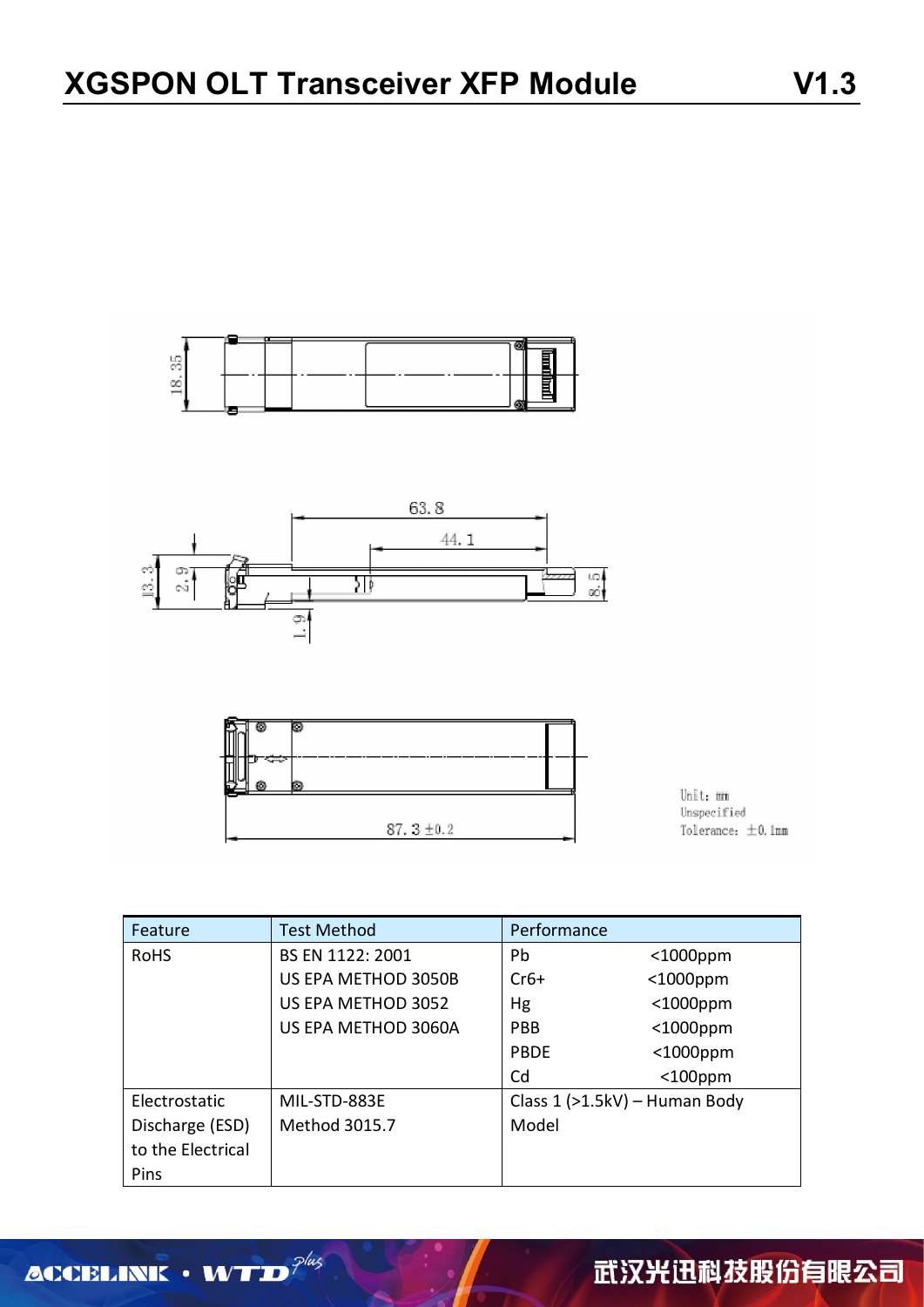





Unit: mm Unspecified Tolerance:  $\pm$ 0.1mm

| Feature           | <b>Test Method</b>  | Performance                   |             |  |
|-------------------|---------------------|-------------------------------|-------------|--|
| <b>RoHS</b>       | BS EN 1122: 2001    | Pb                            | $<$ 1000ppm |  |
|                   | US EPA METHOD 3050B | $Cr6+$                        | $<$ 1000ppm |  |
|                   | US EPA METHOD 3052  | Hg                            | $<$ 1000ppm |  |
|                   | US EPA METHOD 3060A | <b>PBB</b>                    | $<$ 1000ppm |  |
|                   |                     | <b>PBDF</b>                   | $<$ 1000ppm |  |
|                   |                     | Cd                            | $<$ 100ppm  |  |
| Electrostatic     | MIL-STD-883E        | Class 1 (>1.5kV) - Human Body |             |  |
| Discharge (ESD)   | Method 3015.7       | Model                         |             |  |
| to the Electrical |                     |                               |             |  |
| Pins              |                     |                               |             |  |